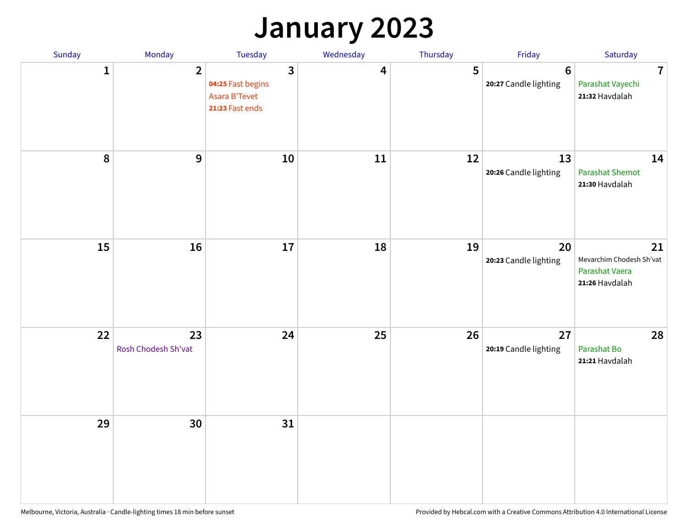## **January 2023**

| Sunday           | Monday                    | Tuesday                                                                                 | Wednesday | Thursday | Friday                                   | Saturday                                                           |
|------------------|---------------------------|-----------------------------------------------------------------------------------------|-----------|----------|------------------------------------------|--------------------------------------------------------------------|
| 1                | $\overline{2}$            | $\overline{\mathbf{3}}$<br>04:25 Fast begins<br><b>Asara B'Tevet</b><br>21:23 Fast ends | 4         | 5        | $6\phantom{1}6$<br>20:27 Candle lighting | $\overline{7}$<br>Parashat Vayechi<br>21:32 Havdalah               |
| $\boldsymbol{8}$ | $\boldsymbol{9}$          | 10                                                                                      | 11        | 12       | 13<br>20:26 Candle lighting              | 14<br><b>Parashat Shemot</b><br>21:30 Havdalah                     |
| 15               | 16                        | 17                                                                                      | 18        | 19       | 20<br>20:23 Candle lighting              | 21<br>Mevarchim Chodesh Sh'vat<br>Parashat Vaera<br>21:26 Havdalah |
| 22               | 23<br>Rosh Chodesh Sh'vat | 24                                                                                      | 25        | 26       | 27<br>20:19 Candle lighting              | 28<br>Parashat Bo<br>21:21 Havdalah                                |
| 29               | 30                        | 31                                                                                      |           |          |                                          |                                                                    |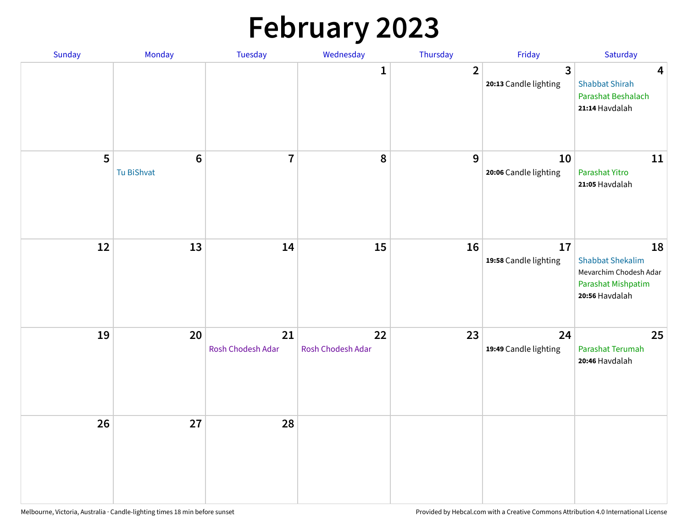# **February 2023**

| Sunday | Monday                        | Tuesday                 | Wednesday               | Thursday       | Friday                                  | Saturday                                                                                               |
|--------|-------------------------------|-------------------------|-------------------------|----------------|-----------------------------------------|--------------------------------------------------------------------------------------------------------|
|        |                               |                         | 1                       | $\overline{2}$ | $\overline{3}$<br>20:13 Candle lighting | $\overline{\mathbf{4}}$<br><b>Shabbat Shirah</b><br>Parashat Beshalach<br>21:14 Havdalah               |
| 5      | $6\phantom{1}6$<br>Tu BiShvat | $\overline{7}$          | 8                       | 9              | 10<br>20:06 Candle lighting             | 11<br>Parashat Yitro<br>21:05 Havdalah                                                                 |
| 12     | 13                            | 14                      | 15                      | 16             | 17<br>19:58 Candle lighting             | 18<br><b>Shabbat Shekalim</b><br>Mevarchim Chodesh Adar<br><b>Parashat Mishpatim</b><br>20:56 Havdalah |
| 19     | 20                            | 21<br>Rosh Chodesh Adar | 22<br>Rosh Chodesh Adar | 23             | 24<br>19:49 Candle lighting             | 25<br>Parashat Terumah<br>20:46 Havdalah                                                               |
| 26     | 27                            | 28                      |                         |                |                                         |                                                                                                        |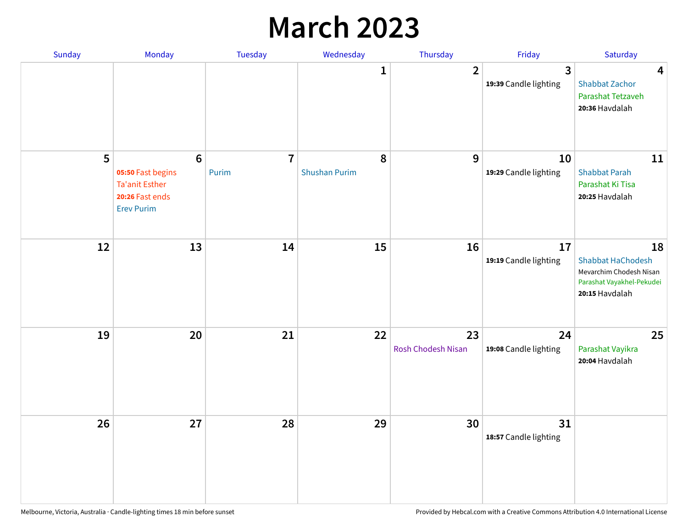## **March 2023**

| Sunday | Monday                                                                                                | Tuesday                 | Wednesday                 | Thursday                        | Friday                      | Saturday                                                                                                 |
|--------|-------------------------------------------------------------------------------------------------------|-------------------------|---------------------------|---------------------------------|-----------------------------|----------------------------------------------------------------------------------------------------------|
|        |                                                                                                       |                         | 1                         | $\overline{2}$                  | 3<br>19:39 Candle lighting  | $\overline{\mathbf{4}}$<br><b>Shabbat Zachor</b><br>Parashat Tetzaveh<br>20:36 Havdalah                  |
| 5      | $6\phantom{1}6$<br>05:50 Fast begins<br><b>Ta'anit Esther</b><br>20:26 Fast ends<br><b>Erev Purim</b> | $\overline{7}$<br>Purim | 8<br><b>Shushan Purim</b> | 9                               | 10<br>19:29 Candle lighting | 11<br><b>Shabbat Parah</b><br>Parashat Ki Tisa<br>20:25 Havdalah                                         |
| 12     | 13                                                                                                    | 14                      | 15                        | 16                              | 17<br>19:19 Candle lighting | 18<br><b>Shabbat HaChodesh</b><br>Mevarchim Chodesh Nisan<br>Parashat Vayakhel-Pekudei<br>20:15 Havdalah |
| 19     | 20                                                                                                    | 21                      | 22                        | 23<br><b>Rosh Chodesh Nisan</b> | 24<br>19:08 Candle lighting | 25<br>Parashat Vayikra<br>20:04 Havdalah                                                                 |
| 26     | 27                                                                                                    | 28                      | 29                        | 30                              | 31<br>18:57 Candle lighting |                                                                                                          |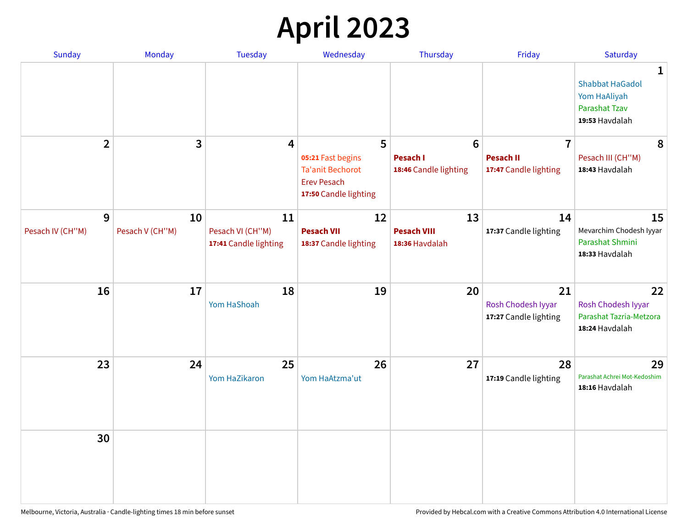# **April 2023**

| <b>Sunday</b>         | Monday                | <b>Tuesday</b>                                  | Wednesday                                                                                   | Thursday                                   | Friday                                            | Saturday                                                                                         |
|-----------------------|-----------------------|-------------------------------------------------|---------------------------------------------------------------------------------------------|--------------------------------------------|---------------------------------------------------|--------------------------------------------------------------------------------------------------|
|                       |                       |                                                 |                                                                                             |                                            |                                                   | $\mathbf{1}$<br><b>Shabbat HaGadol</b><br>Yom HaAliyah<br><b>Parashat Tzav</b><br>19:53 Havdalah |
| $\overline{2}$        | 3                     | 4                                               | 5                                                                                           | $6\phantom{1}$                             | $\overline{7}$                                    | 8                                                                                                |
|                       |                       |                                                 | 05:21 Fast begins<br><b>Ta'anit Bechorot</b><br><b>Erev Pesach</b><br>17:50 Candle lighting | <b>Pesach I</b><br>18:46 Candle lighting   | <b>Pesach II</b><br>17:47 Candle lighting         | Pesach III (CH"M)<br>18:43 Havdalah                                                              |
| 9<br>Pesach IV (CH"M) | 10<br>Pesach V (CH"M) | 11<br>Pesach VI (CH"M)<br>17:41 Candle lighting | 12<br><b>Pesach VII</b><br>18:37 Candle lighting                                            | 13<br><b>Pesach VIII</b><br>18:36 Havdalah | 14<br>17:37 Candle lighting                       | 15<br>Mevarchim Chodesh Iyyar<br>Parashat Shmini<br>18:33 Havdalah                               |
| 16                    | 17                    | 18<br>Yom HaShoah                               | 19                                                                                          | 20                                         | 21<br>Rosh Chodesh Iyyar<br>17:27 Candle lighting | 22<br>Rosh Chodesh Iyyar<br>Parashat Tazria-Metzora<br>18:24 Havdalah                            |
| 23                    | 24                    | 25<br>Yom HaZikaron                             | 26<br>Yom HaAtzma'ut                                                                        | 27                                         | 28<br>17:19 Candle lighting                       | 29<br>Parashat Achrei Mot-Kedoshim<br>18:16 Havdalah                                             |
| 30                    |                       |                                                 |                                                                                             |                                            |                                                   |                                                                                                  |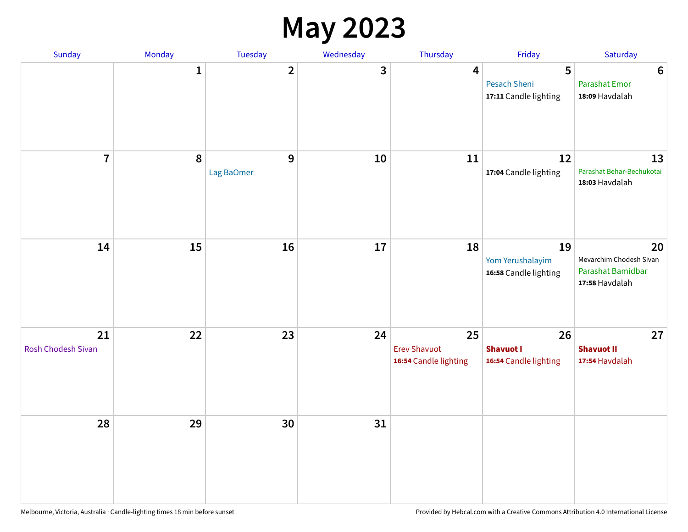#### **May 2023**

| Sunday                   | Monday      | Tuesday         | Wednesday | Thursday                                           | Friday                                          | Saturday                                                             |
|--------------------------|-------------|-----------------|-----------|----------------------------------------------------|-------------------------------------------------|----------------------------------------------------------------------|
|                          | $\mathbf 1$ | $\overline{2}$  | 3         | 4                                                  | 5<br>Pesach Sheni<br>17:11 Candle lighting      | $\boldsymbol{6}$<br><b>Parashat Emor</b><br>18:09 Havdalah           |
| $\overline{7}$           | 8           | 9<br>Lag BaOmer | 10        | 11                                                 | 12<br>17:04 Candle lighting                     | 13<br>Parashat Behar-Bechukotai<br>18:03 Havdalah                    |
| 14                       | 15          | 16              | 17        | 18                                                 | 19<br>Yom Yerushalayim<br>16:58 Candle lighting | 20<br>Mevarchim Chodesh Sivan<br>Parashat Bamidbar<br>17:58 Havdalah |
| 21<br>Rosh Chodesh Sivan | 22          | 23              | 24        | 25<br><b>Erev Shavuot</b><br>16:54 Candle lighting | 26<br><b>Shavuot I</b><br>16:54 Candle lighting | 27<br><b>Shavuot II</b><br>17:54 Havdalah                            |
| 28                       | 29          | 30              | 31        |                                                    |                                                 |                                                                      |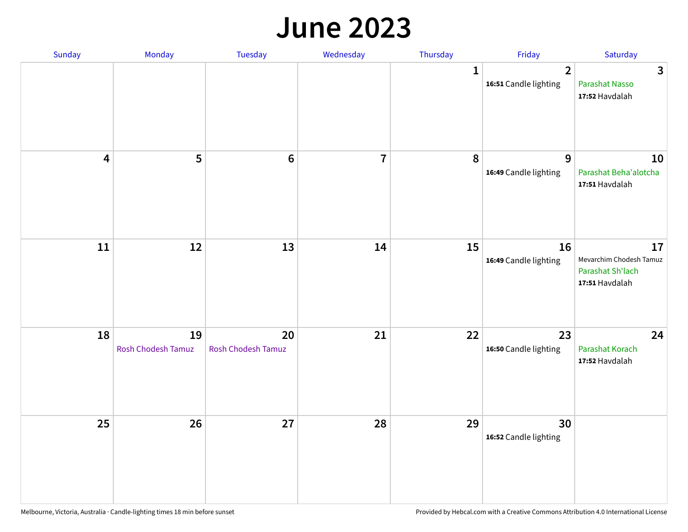#### **June 2023**

| Sunday                  | Monday                   | Tuesday                         | Wednesday      | Thursday     | Friday                                  | Saturday                                                            |
|-------------------------|--------------------------|---------------------------------|----------------|--------------|-----------------------------------------|---------------------------------------------------------------------|
|                         |                          |                                 |                | $\mathbf{1}$ | $\overline{2}$<br>16:51 Candle lighting | $\mathbf{3}$<br>Parashat Nasso<br>17:52 Havdalah                    |
| $\overline{\mathbf{4}}$ | 5                        | $\bf 6$                         | $\overline{7}$ | 8            | 9<br>16:49 Candle lighting              | 10<br>Parashat Beha'alotcha<br>17:51 Havdalah                       |
| $11\,$                  | 12                       | 13                              | 14             | 15           | 16<br>16:49 Candle lighting             | 17<br>Mevarchim Chodesh Tamuz<br>Parashat Sh'lach<br>17:51 Havdalah |
| 18                      | 19<br>Rosh Chodesh Tamuz | 20<br><b>Rosh Chodesh Tamuz</b> | 21             | 22           | 23<br>16:50 Candle lighting             | 24<br>Parashat Korach<br>17:52 Havdalah                             |
| 25                      | 26                       | 27                              | 28             | 29           | 30<br>16:52 Candle lighting             |                                                                     |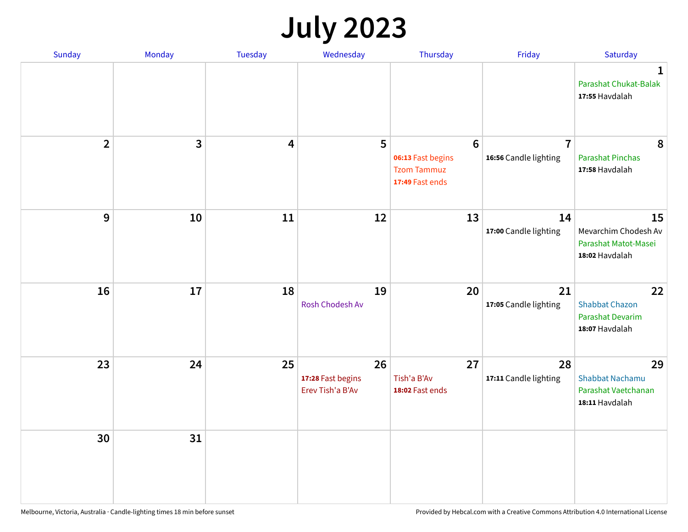# **July 2023**

| Sunday         | Monday       | <b>Tuesday</b> | Wednesday                                   | Thursday                                                                      | Friday                                  | Saturday                                                              |
|----------------|--------------|----------------|---------------------------------------------|-------------------------------------------------------------------------------|-----------------------------------------|-----------------------------------------------------------------------|
|                |              |                |                                             |                                                                               |                                         | $\mathbf 1$<br>Parashat Chukat-Balak<br>17:55 Havdalah                |
| $\overline{2}$ | $\mathbf{3}$ | 4              | 5                                           | $6\phantom{1}6$<br>06:13 Fast begins<br><b>Tzom Tammuz</b><br>17:49 Fast ends | $\overline{7}$<br>16:56 Candle lighting | 8<br><b>Parashat Pinchas</b><br>17:58 Havdalah                        |
| 9              | 10           | 11             | 12                                          | 13                                                                            | 14<br>17:00 Candle lighting             | 15<br>Mevarchim Chodesh Av<br>Parashat Matot-Masei<br>18:02 Havdalah  |
| 16             | 17           | 18             | 19<br>Rosh Chodesh Av                       | 20                                                                            | 21<br>17:05 Candle lighting             | 22<br><b>Shabbat Chazon</b><br>Parashat Devarim<br>18:07 Havdalah     |
| 23             | 24           | 25             | 26<br>17:28 Fast begins<br>Erev Tish'a B'Av | 27<br>Tish'a B'Av<br>18:02 Fast ends                                          | 28<br>17:11 Candle lighting             | 29<br><b>Shabbat Nachamu</b><br>Parashat Vaetchanan<br>18:11 Havdalah |
| 30             | 31           |                |                                             |                                                                               |                                         |                                                                       |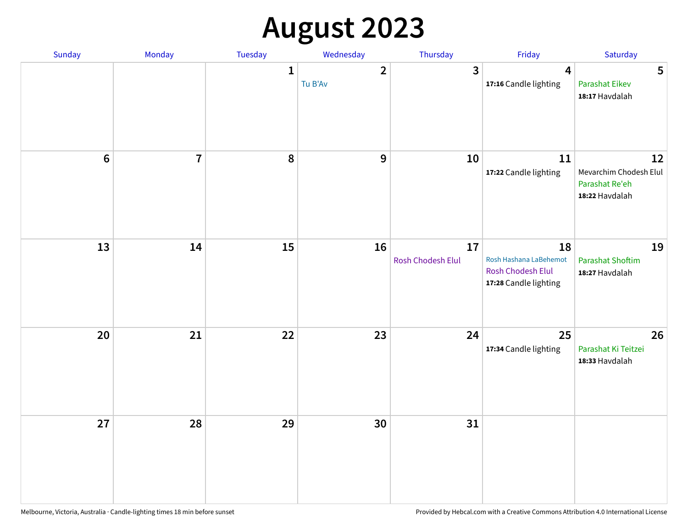# **August 2023**

| Sunday | Monday                  | Tuesday      | Wednesday                 | Thursday                | Friday                                                                            | Saturday                                                         |
|--------|-------------------------|--------------|---------------------------|-------------------------|-----------------------------------------------------------------------------------|------------------------------------------------------------------|
|        |                         | $\mathbf{1}$ | $\overline{2}$<br>Tu B'Av | 3                       | $\overline{\mathbf{4}}$<br>17:16 Candle lighting                                  | 5<br><b>Parashat Eikev</b><br>18:17 Havdalah                     |
| $6\,$  | $\overline{\mathbf{I}}$ | 8            | 9                         | 10                      | 11<br>17:22 Candle lighting                                                       | 12<br>Mevarchim Chodesh Elul<br>Parashat Re'eh<br>18:22 Havdalah |
| 13     | 14                      | 15           | 16                        | 17<br>Rosh Chodesh Elul | 18<br>Rosh Hashana LaBehemot<br><b>Rosh Chodesh Elul</b><br>17:28 Candle lighting | 19<br><b>Parashat Shoftim</b><br>18:27 Havdalah                  |
| 20     | 21                      | 22           | 23                        | 24                      | 25<br>17:34 Candle lighting                                                       | 26<br>Parashat Ki Teitzei<br>18:33 Havdalah                      |
| 27     | 28                      | 29           | 30                        | 31                      |                                                                                   |                                                                  |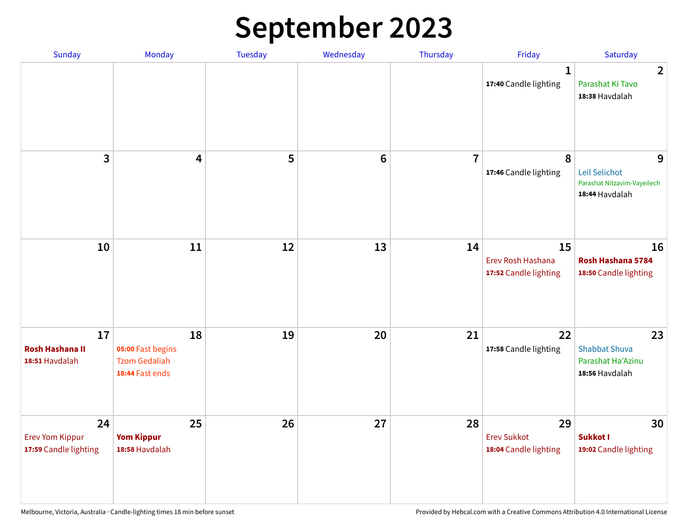# **September 2023**

| Sunday                                                | Monday                                                             | <b>Tuesday</b> | Wednesday      | Thursday       | Friday                                            | Saturday                                                            |
|-------------------------------------------------------|--------------------------------------------------------------------|----------------|----------------|----------------|---------------------------------------------------|---------------------------------------------------------------------|
|                                                       |                                                                    |                |                |                | 1<br>17:40 Candle lighting                        | $\overline{2}$<br>Parashat Ki Tavo<br>18:38 Havdalah                |
| 3                                                     | $\overline{\mathbf{4}}$                                            | 5              | $6\phantom{1}$ | $\overline{7}$ | 8<br>17:46 Candle lighting                        | 9<br>Leil Selichot<br>Parashat Nitzavim-Vayeilech<br>18:44 Havdalah |
| 10                                                    | 11                                                                 | 12             | 13             | 14             | 15<br>Erev Rosh Hashana<br>17:52 Candle lighting  | 16<br>Rosh Hashana 5784<br>18:50 Candle lighting                    |
| 17<br><b>Rosh Hashana II</b><br>18:51 Havdalah        | 18<br>05:00 Fast begins<br><b>Tzom Gedaliah</b><br>18:44 Fast ends | 19             | 20             | 21             | 22<br>17:58 Candle lighting                       | 23<br><b>Shabbat Shuva</b><br>Parashat Ha'Azinu<br>18:56 Havdalah   |
| 24<br><b>Erev Yom Kippur</b><br>17:59 Candle lighting | 25<br><b>Yom Kippur</b><br>18:58 Havdalah                          | 26             | 27             | 28             | 29<br><b>Erev Sukkot</b><br>18:04 Candle lighting | 30<br>Sukkot I<br>19:02 Candle lighting                             |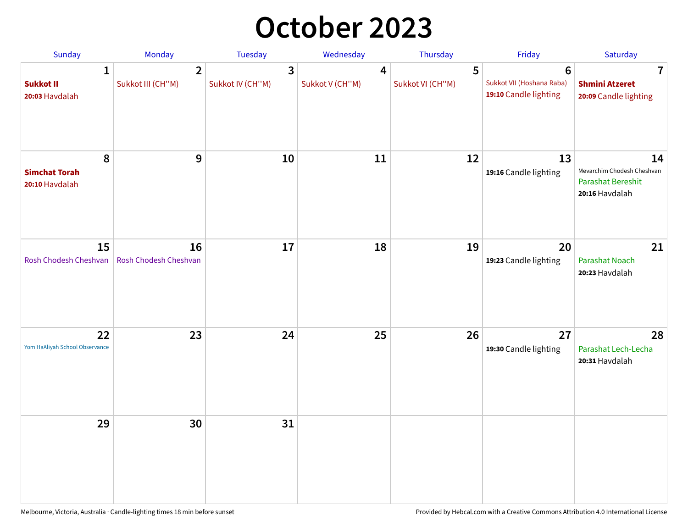## **October 2023**

| Sunday                                             | <b>Monday</b>                       | <b>Tuesday</b>        | Wednesday            | Thursday              | Friday                                                               | Saturday                                                                       |
|----------------------------------------------------|-------------------------------------|-----------------------|----------------------|-----------------------|----------------------------------------------------------------------|--------------------------------------------------------------------------------|
| $\mathbf{1}$<br><b>Sukkot II</b><br>20:03 Havdalah | $\overline{2}$<br>Sukkot III (CH"M) | 3<br>Sukkot IV (CH"M) | 4<br>Sukkot V (CH"M) | 5<br>Sukkot VI (CH"M) | $6\phantom{1}$<br>Sukkot VII (Hoshana Raba)<br>19:10 Candle lighting | 7<br><b>Shmini Atzeret</b><br>20:09 Candle lighting                            |
| 8<br><b>Simchat Torah</b><br>20:10 Havdalah        | 9                                   | 10                    | 11                   | 12                    | 13<br>19:16 Candle lighting                                          | 14<br>Mevarchim Chodesh Cheshvan<br><b>Parashat Bereshit</b><br>20:16 Havdalah |
| 15<br>Rosh Chodesh Cheshvan                        | 16<br>Rosh Chodesh Cheshvan         | 17                    | 18                   | 19                    | 20<br>19:23 Candle lighting                                          | 21<br>Parashat Noach<br>20:23 Havdalah                                         |
| 22<br>Yom HaAliyah School Observance               | 23                                  | 24                    | 25                   | 26                    | 27<br>19:30 Candle lighting                                          | 28<br>Parashat Lech-Lecha<br>20:31 Havdalah                                    |
| 29                                                 | 30                                  | 31                    |                      |                       |                                                                      |                                                                                |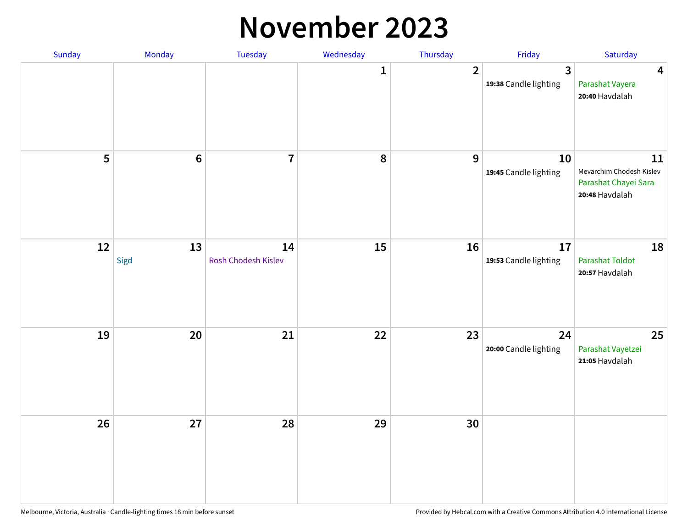#### **November 2023**

| Sunday | Monday          | Tuesday                   | Wednesday | Thursday       | Friday                      | Saturday                                                                 |
|--------|-----------------|---------------------------|-----------|----------------|-----------------------------|--------------------------------------------------------------------------|
|        |                 |                           | 1         | $\overline{2}$ | 3<br>19:38 Candle lighting  | $\overline{\mathbf{4}}$<br>Parashat Vayera<br>20:40 Havdalah             |
| 5      | $6\phantom{1}6$ | $\overline{7}$            | 8         | $\mathbf{9}$   | 10<br>19:45 Candle lighting | 11<br>Mevarchim Chodesh Kislev<br>Parashat Chayei Sara<br>20:48 Havdalah |
| 12     | 13<br>Sigd      | 14<br>Rosh Chodesh Kislev | 15        | 16             | 17<br>19:53 Candle lighting | 18<br><b>Parashat Toldot</b><br>20:57 Havdalah                           |
| 19     | 20              | 21                        | 22        | 23             | 24<br>20:00 Candle lighting | 25<br>Parashat Vayetzei<br>21:05 Havdalah                                |
| 26     | 27              | 28                        | 29        | 30             |                             |                                                                          |